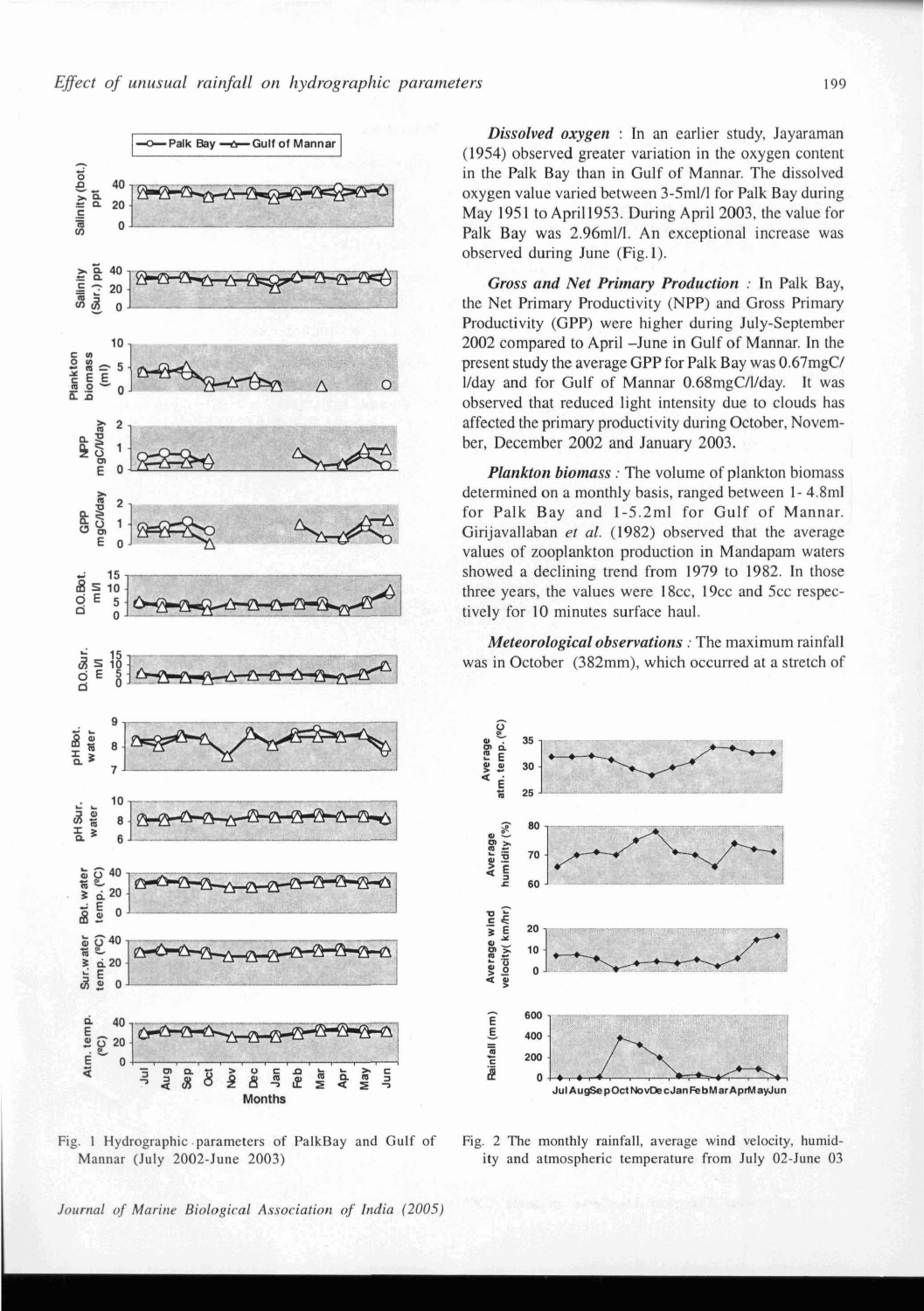

Fig. 1 Hydrographic .parameters of PalkBay and Gulf of Fig. 2 The monthly rainfall, average wind velocity, hurnid-

*Dissolved oxygen* : In an earlier study, Jayaraman (1954) observed greater variation in the oxygen content in the Palk Bay than in Gulf of Mannar. The dissolved oxygen value varied between 3-5ml/l for Palk Bay during May 1951 to Apri11953. During April 2003, the value for Palk Bay was 2.96ml/l. An exceptional increase was observed during June (Fig. I).

*Gross and Net Primary Production* : In Palk Bay, the Net Primary Productivity (NPP) and Gross Primary Productivity (GPP) were higher during July-September 2002 compared to April -June in Gulf of Mannar. In the present study the average GPP for Palk Bay was 0.67mgC/ l/day and for Gulf of Mannar 0.68mgC/l/day. It was observed that reduced light intensity due to clouds has affected the primary productivity during October, November, December 2002 and January 2003.

*Plankton biomass* : The volume of plankton biomass determined on a monthly basis, ranged between 1- 4.8ml for Palk Bay and 1-5.2ml for Gulf of Mannar. Girijavallaban *et* al. (1982) observed that the average values of zooplankton production in Mandapam waters showed a declining trend from 1979 to 1982. In those three years, the values were 18cc, 19cc and 5cc respectively for 10 minutes surface haul.

*Meteorological observations* : The maximum rainfall was in October (382mm), which occurred at a stretch of



Mannar (July 2002-June 2003) ity and atmospheric temperature from July 02-June 03